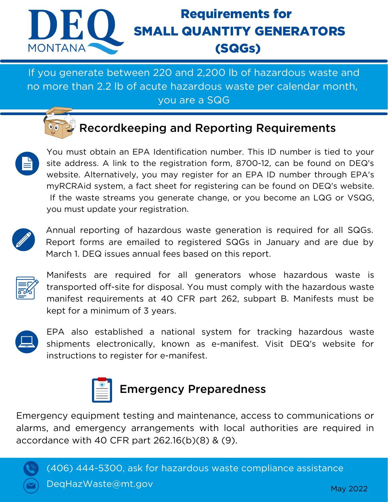

## Requirements for SMALL QUANTITY GENERATORS (SQGs)

If you generate between 220 and 2,200 lb of hazardous waste and no more than 2.2 lb of acute hazardous waste per calendar month, you are a SQG

### Recordkeeping and Reporting Requirements



You must obtain an EPA Identification number. This ID number is tied to your site address. A link to the registration form, 8700-12, can be found on DEQ's website. Alternatively, you may register for an EPA ID number through EPA's myRCRAid system, a fact sheet for registering can be found on DEQ's website. If the waste streams you generate change, or you become an LQG or VSQG, you must update your registration.



Annual reporting of hazardous waste generation is required for all SQGs. Report forms are emailed to registered SQGs in January and are due by March 1. DEQ issues annual fees based on this report.



Manifests are required for all generators whose hazardous waste is transported off-site for disposal. You must comply with the hazardous waste manifest requirements at 40 CFR part 262, subpart B. Manifests must be kept for a minimum of 3 years.



EPA also established a national system for tracking hazardous waste shipments electronically, known as e-manifest. Visit DEQ's website for instructions to register for e-manifest.



#### Emergency Preparedness

Emergency equipment testing and maintenance, access to communications or alarms, and emergency arrangements with local authorities are required in accordance with 40 CFR part 262.16(b)(8) & (9).